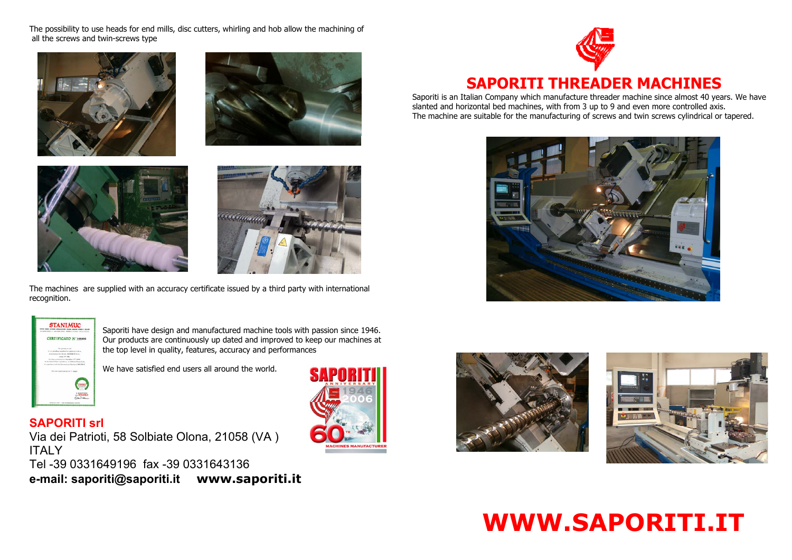

The possibility to use heads for end mills, disc cutters, whirling and hob allow the machining of all the screws and twin-screws type









The machines are supplied with an accuracy certificate issued by a third party with international recognition.

> Saporiti have design and manufactured machine tools with passion since 1946. Our products are continuously up dated and improved to keep our machines at the top level in quality, features, accuracy and performances

We have satisfied end users all around the world.

# **SAPORITI srl**

Via dei Patrioti, 58 Solbiate Olona, 21058 (VA ) **ITALY** Tel -39 0331649196 fax -39 0331643136 **e-mail: saporiti@saporiti.it www.saporiti.it**









Saporiti is an Italian Company which manufacture threader machine since almost 40 years. We have slanted and horizontal bed machines, with from 3 up to 9 and even more controlled axis. The machine are suitable for the manufacturing of screws and twin screws cylindrical or tapered.